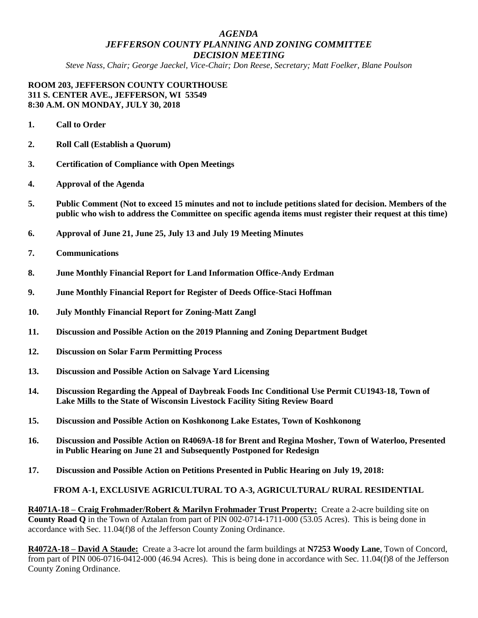# *AGENDA JEFFERSON COUNTY PLANNING AND ZONING COMMITTEE DECISION MEETING*

*Steve Nass, Chair; George Jaeckel, Vice-Chair; Don Reese, Secretary; Matt Foelker, Blane Poulson*

#### **ROOM 203, JEFFERSON COUNTY COURTHOUSE 311 S. CENTER AVE., JEFFERSON, WI 53549 8:30 A.M. ON MONDAY, JULY 30, 2018**

- **1. Call to Order**
- **2. Roll Call (Establish a Quorum)**
- **3. Certification of Compliance with Open Meetings**
- **4. Approval of the Agenda**
- **5. Public Comment (Not to exceed 15 minutes and not to include petitions slated for decision. Members of the public who wish to address the Committee on specific agenda items must register their request at this time)**
- **6. Approval of June 21, June 25, July 13 and July 19 Meeting Minutes**
- **7. Communications**
- **8. June Monthly Financial Report for Land Information Office-Andy Erdman**
- **9. June Monthly Financial Report for Register of Deeds Office-Staci Hoffman**
- **10. July Monthly Financial Report for Zoning-Matt Zangl**
- **11. Discussion and Possible Action on the 2019 Planning and Zoning Department Budget**
- **12. Discussion on Solar Farm Permitting Process**
- **13. Discussion and Possible Action on Salvage Yard Licensing**
- **14. Discussion Regarding the Appeal of Daybreak Foods Inc Conditional Use Permit CU1943-18, Town of Lake Mills to the State of Wisconsin Livestock Facility Siting Review Board**
- **15. Discussion and Possible Action on Koshkonong Lake Estates, Town of Koshkonong**
- **16. Discussion and Possible Action on R4069A-18 for Brent and Regina Mosher, Town of Waterloo, Presented in Public Hearing on June 21 and Subsequently Postponed for Redesign**
- **17. Discussion and Possible Action on Petitions Presented in Public Hearing on July 19, 2018:**

#### **FROM A-1, EXCLUSIVE AGRICULTURAL TO A-3, AGRICULTURAL/ RURAL RESIDENTIAL**

**R4071A-18 – Craig Frohmader/Robert & Marilyn Frohmader Trust Property:** Create a 2-acre building site on **County Road Q** in the Town of Aztalan from part of PIN 002-0714-1711-000 (53.05 Acres). This is being done in accordance with Sec. 11.04(f)8 of the Jefferson County Zoning Ordinance.

**R4072A-18 – David A Staude:** Create a 3-acre lot around the farm buildings at **N7253 Woody Lane**, Town of Concord, from part of PIN 006-0716-0412-000 (46.94 Acres). This is being done in accordance with Sec. 11.04(f)8 of the Jefferson County Zoning Ordinance.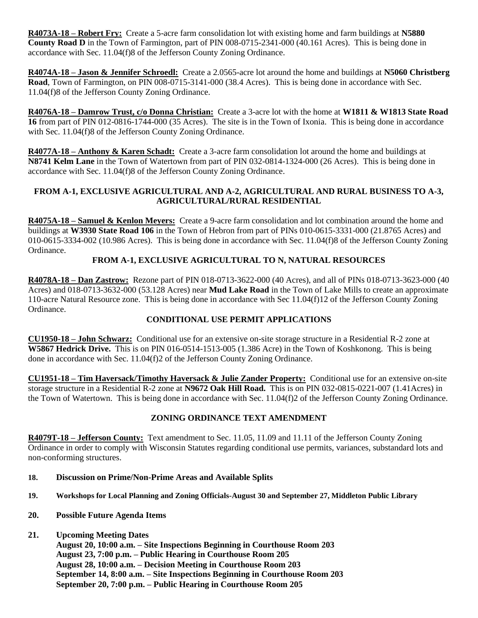**R4073A-18 – Robert Fry:** Create a 5-acre farm consolidation lot with existing home and farm buildings at **N5880 County Road D** in the Town of Farmington, part of PIN 008-0715-2341-000 (40.161 Acres). This is being done in accordance with Sec. 11.04(f)8 of the Jefferson County Zoning Ordinance.

**R4074A-18 – Jason & Jennifer Schroedl:** Create a 2.0565-acre lot around the home and buildings at **N5060 Christberg Road**, Town of Farmington, on PIN 008-0715-3141-000 (38.4 Acres). This is being done in accordance with Sec. 11.04(f)8 of the Jefferson County Zoning Ordinance.

**R4076A-18 – Damrow Trust, c/o Donna Christian:** Create a 3-acre lot with the home at **W1811 & W1813 State Road 16** from part of PIN 012-0816-1744-000 (35 Acres). The site is in the Town of Ixonia. This is being done in accordance with Sec. 11.04(f)8 of the Jefferson County Zoning Ordinance.

**R4077A-18 – Anthony & Karen Schadt:** Create a 3-acre farm consolidation lot around the home and buildings at **N8741 Kelm Lane** in the Town of Watertown from part of PIN 032-0814-1324-000 (26 Acres). This is being done in accordance with Sec. 11.04(f)8 of the Jefferson County Zoning Ordinance.

## **FROM A-1, EXCLUSIVE AGRICULTURAL AND A-2, AGRICULTURAL AND RURAL BUSINESS TO A-3, AGRICULTURAL/RURAL RESIDENTIAL**

**R4075A-18 – Samuel & Kenlon Meyers:** Create a 9-acre farm consolidation and lot combination around the home and buildings at **W3930 State Road 106** in the Town of Hebron from part of PINs 010-0615-3331-000 (21.8765 Acres) and 010-0615-3334-002 (10.986 Acres). This is being done in accordance with Sec. 11.04(f)8 of the Jefferson County Zoning Ordinance.

# **FROM A-1, EXCLUSIVE AGRICULTURAL TO N, NATURAL RESOURCES**

**R4078A-18 – Dan Zastrow:** Rezone part of PIN 018-0713-3622-000 (40 Acres), and all of PINs 018-0713-3623-000 (40 Acres) and 018-0713-3632-000 (53.128 Acres) near **Mud Lake Road** in the Town of Lake Mills to create an approximate 110-acre Natural Resource zone. This is being done in accordance with Sec 11.04(f)12 of the Jefferson County Zoning Ordinance.

## **CONDITIONAL USE PERMIT APPLICATIONS**

**CU1950-18 – John Schwarz:** Conditional use for an extensive on-site storage structure in a Residential R-2 zone at **W5867 Hedrick Drive.** This is on PIN 016-0514-1513-005 (1.386 Acre) in the Town of Koshkonong. This is being done in accordance with Sec. 11.04(f)2 of the Jefferson County Zoning Ordinance.

**CU1951-18 – Tim Haversack/Timothy Haversack & Julie Zander Property:** Conditional use for an extensive on-site storage structure in a Residential R-2 zone at **N9672 Oak Hill Road.** This is on PIN 032-0815-0221-007 (1.41Acres) in the Town of Watertown. This is being done in accordance with Sec. 11.04(f)2 of the Jefferson County Zoning Ordinance.

## **ZONING ORDINANCE TEXT AMENDMENT**

**R4079T-18 – Jefferson County:** Text amendment to Sec. 11.05, 11.09 and 11.11 of the Jefferson County Zoning Ordinance in order to comply with Wisconsin Statutes regarding conditional use permits, variances, substandard lots and non-conforming structures.

- **18. Discussion on Prime/Non-Prime Areas and Available Splits**
- **19. Workshops for Local Planning and Zoning Officials-August 30 and September 27, Middleton Public Library**
- **20. Possible Future Agenda Items**
- **21. Upcoming Meeting Dates**
	- **August 20, 10:00 a.m. – Site Inspections Beginning in Courthouse Room 203 August 23, 7:00 p.m. – Public Hearing in Courthouse Room 205 August 28, 10:00 a.m. – Decision Meeting in Courthouse Room 203 September 14, 8:00 a.m. – Site Inspections Beginning in Courthouse Room 203 September 20, 7:00 p.m. – Public Hearing in Courthouse Room 205**